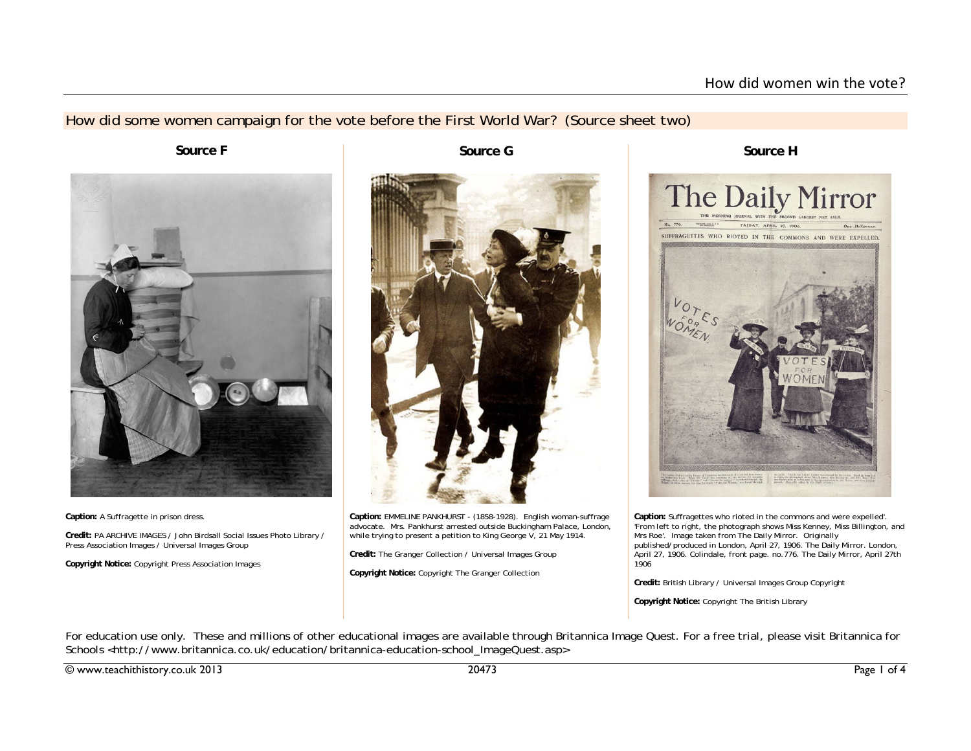## How did some women campaign for the vote before the First World War? (Source sheet two)



**Caption:** A Suffragette in prison dress.

**Credit:** PA ARCHIVE IMAGES / John Birdsall Social Issues Photo Library / Press Association Images / Universal Images Group

**Copyright Notice:** Copyright Press Association Images

**Source F** Source G



**Caption:** EMMELINE PANKHURST - (1858-1928). English woman-suffrage advocate. Mrs. Pankhurst arrested outside Buckingham Palace, London, while trying to present a petition to King George V, 21 May 1914.

**Credit:** The Granger Collection / Universal Images Group

**Copyright Notice:** Copyright The Granger Collection

**Source H**



**Caption:** Suffragettes who rioted in the commons and were expelled'. 'From left to right, the photograph shows Miss Kenney, Miss Billington, and Mrs Roe'. Image taken from The Daily Mirror. Originally published/produced in London, April 27, 1906. The Daily Mirror. London, April 27, 1906. Colindale, front page. no.776. The Daily Mirror, April 27th 1906

**Credit:** British Library / Universal Images Group Copyright

**Copyright Notice:** Copyright The British Library

For education use only. These and millions of other educational images are available through Britannica Image Quest. For a free trial, please visit Britannica for Schools <http://www.britannica.co.uk/education/britannica-education-school\_ImageQuest.asp>

© www.teachithistory.co.uk 2013 20473 Page 1 of 4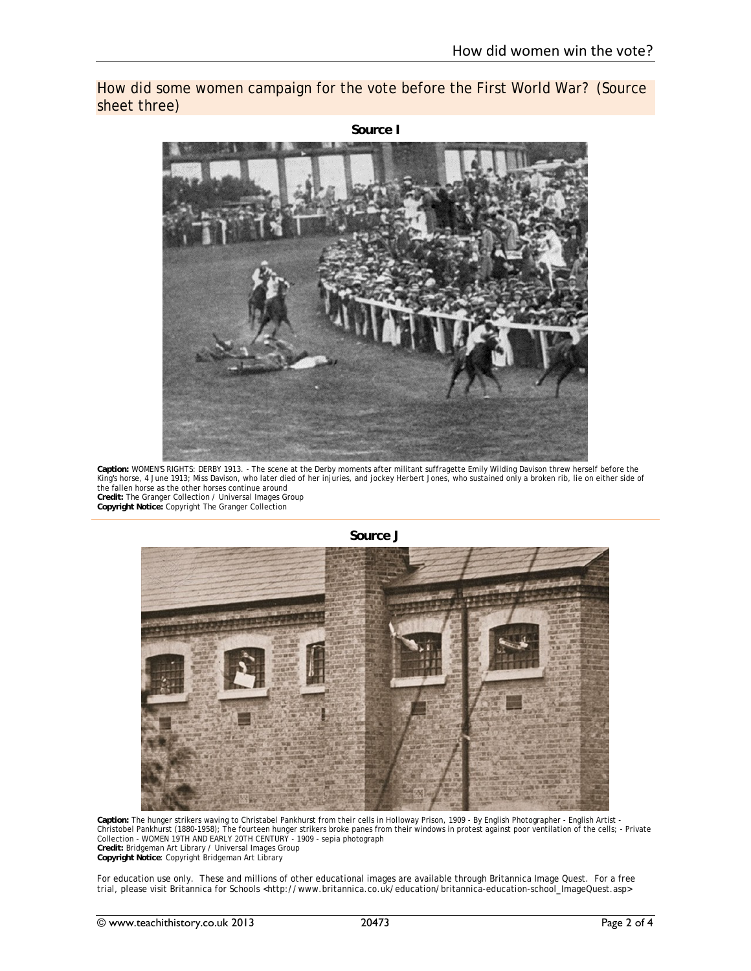How did some women campaign for the vote before the First World War? (Source sheet three)



**Caption:** WOMEN'S RIGHTS: DERBY 1913. - The scene at the Derby moments after militant suffragette Emily Wilding Davison threw herself before the King's horse, 4 June 1913; Miss Davison, who later died of her injuries, and jockey Herbert Jones, who sustained only a broken rib, lie on either side of the fallen horse as the other horses continue around **Credit:** The Granger Collection / Universal Images Group **Copyright Notice:** Copyright The Granger Collection



**Source J** 

Caption: The hunger strikers waving to Christabel Pankhurst from their cells in Holloway Prison, 1909 - By English Photographer - English Artist -<br>Christobel Pankhurst (1880-1958); The fourteen hunger strikers broke panes Collection - WOMEN 19TH AND EARLY 20TH CENTURY - 1909 - sepia photograph **Credit:** Bridgeman Art Library / Universal Images Group **Copyright Notice**: Copyright Bridgeman Art Library

For education use only. These and millions of other educational images are available through Britannica Image Quest. For a free trial, please visit Britannica for Schools <http://www.britannica.co.uk/education/britannica-education-school\_ImageQuest.asp>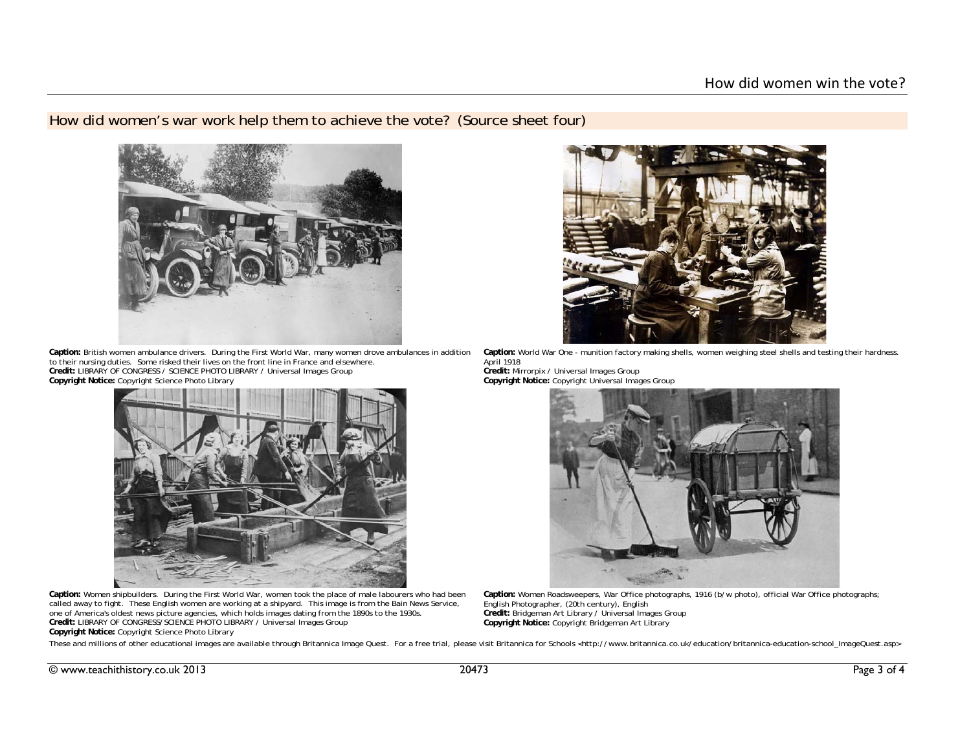## How did women's war work help them to achieve the vote? (Source sheet four)



Caption: British women ambulance drivers. During the First World War, many women drove ambulances in addition Caption: World War One - munition factory making shells, women weighing steel shells and testing their hardness. to their nursing duties. Some risked their lives on the front line in France and elsewhere. **Credit:** LIBRARY OF CONGRESS / SCIENCE PHOTO LIBRARY / Universal Images Group **Copyright Notice:** Copyright Science Photo Library



**Caption:** Women shipbuilders. During the First World War, women took the place of male labourers who had been called away to fight. These English women are working at a shipyard. This image is from the Bain News Service, one of America's oldest news picture agencies, which holds images dating from the 1890s to the 1930s. **Credit:** LIBRARY OF CONGRESS/SCIENCE PHOTO LIBRARY / Universal Images Group **Copyright Notice:** Copyright Science Photo Library



April 1918

**Credit:** Mirrorpix / Universal Images Group **Copyright Notice:** Copyright Universal Images Group



**Caption:** Women Roadsweepers, War Office photographs, 1916 (b/w photo), official War Office photographs; English Photographer, (20th century), English **Credit:** Bridgeman Art Library / Universal Images Group **Copyright Notice:** Copyright Bridgeman Art Library

These and millions of other educational images are available through Britannica Image Quest. For a free trial, please visit Britannica for Schools <http://www.britannica.co.uk/education/britannica-education-school\_ImageQue